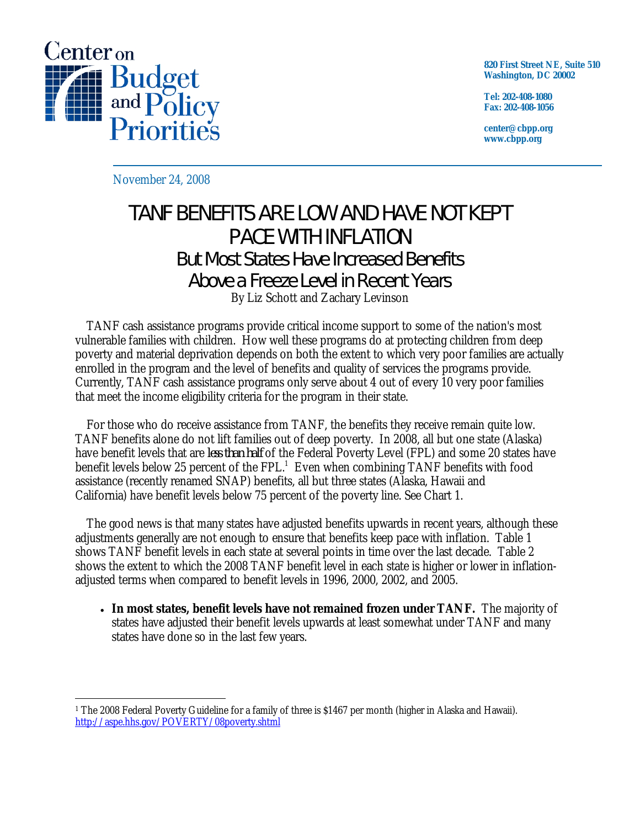

**820 First Street NE, Suite 510 Washington, DC 20002** 

**Tel: 202-408-1080 Fax: 202-408-1056** 

**center@cbpp.org www.cbpp.org** 

November 24, 2008

## TANF BENEFITS ARE LOW AND HAVE NOT KEPT PACE WITH INFLATION But Most States Have Increased Benefits Above a Freeze Level in Recent Years

By Liz Schott and Zachary Levinson

TANF cash assistance programs provide critical income support to some of the nation's most vulnerable families with children. How well these programs do at protecting children from deep poverty and material deprivation depends on both the extent to which very poor families are actually enrolled in the program and the level of benefits and quality of services the programs provide. Currently, TANF cash assistance programs only serve about 4 out of every 10 very poor families that meet the income eligibility criteria for the program in their state.

For those who do receive assistance from TANF, the benefits they receive remain quite low. TANF benefits alone do not lift families out of deep poverty. In 2008, all but one state (Alaska) have benefit levels that are *less than half* of the Federal Poverty Level (FPL) and some 20 states have benefit levels below 25 percent of the FPL. $^1$  Even when combining TANF benefits with food assistance (recently renamed SNAP) benefits, all but three states (Alaska, Hawaii and California) have benefit levels below 75 percent of the poverty line. See Chart 1.

The good news is that many states have adjusted benefits upwards in recent years, although these adjustments generally are not enough to ensure that benefits keep pace with inflation. Table 1 shows TANF benefit levels in each state at several points in time over the last decade. Table 2 shows the extent to which the 2008 TANF benefit level in each state is higher or lower in inflationadjusted terms when compared to benefit levels in 1996, 2000, 2002, and 2005.

• **In most states, benefit levels have not remained frozen under TANF.** The majority of states have adjusted their benefit levels upwards at least somewhat under TANF and many states have done so in the last few years.

 $\overline{a}$ 1 The 2008 Federal Poverty Guideline for a family of three is \$1467 per month (higher in Alaska and Hawaii). http://aspe.hhs.gov/POVERTY/08poverty.shtml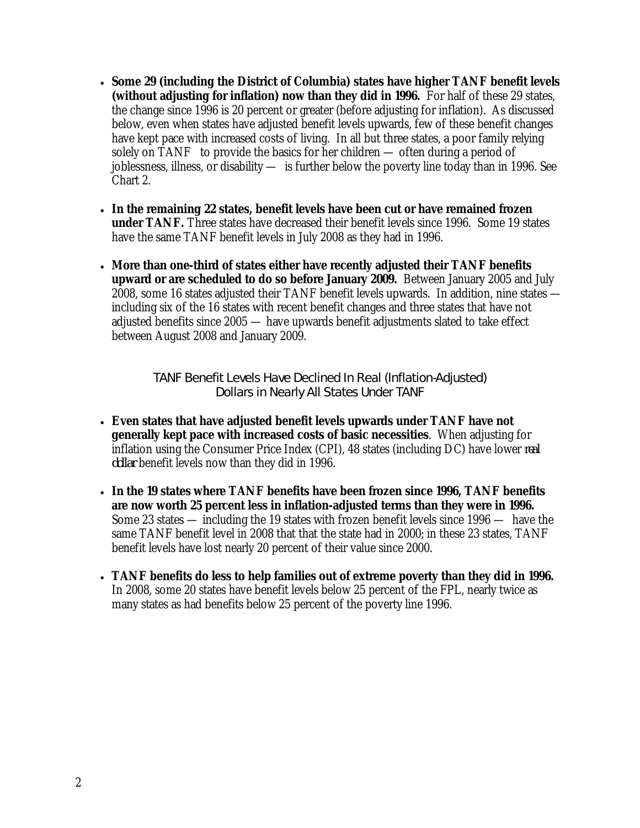- **Some 29 (including the District of Columbia) states have higher TANF benefit levels (without adjusting for inflation) now than they did in 1996.** For half of these 29 states, the change since 1996 is 20 percent or greater (before adjusting for inflation). As discussed below, even when states have adjusted benefit levels upwards, few of these benefit changes have kept pace with increased costs of living. In all but three states, a poor family relying solely on TANF to provide the basics for her children — often during a period of joblessness, illness, or disability — is further below the poverty line today than in 1996. See Chart 2.
- **In the remaining 22 states, benefit levels have been cut or have remained frozen under TANF.** Three states have decreased their benefit levels since 1996. Some 19 states have the same TANF benefit levels in July 2008 as they had in 1996.
- **More than one-third of states either have recently adjusted their TANF benefits upward or are scheduled to do so before January 2009.** Between January 2005 and July 2008, some 16 states adjusted their TANF benefit levels upwards. In addition, nine states including six of the 16 states with recent benefit changes and three states that have not adjusted benefits since 2005 — have upwards benefit adjustments slated to take effect between August 2008 and January 2009.

TANF Benefit Levels Have Declined In Real (Inflation-Adjusted) Dollars in Nearly All States Under TANF

- **Even states that have adjusted benefit levels upwards under TANF have not generally kept pace with increased costs of basic necessities**. When adjusting for inflation using the Consumer Price Index (CPI), 48 states (including DC) have lower *real dollar* benefit levels now than they did in 1996.
- **In the 19 states where TANF benefits have been frozen since 1996, TANF benefits are now worth 25 percent less in inflation-adjusted terms than they were in 1996.**  Some 23 states — including the 19 states with frozen benefit levels since 1996 — have the same TANF benefit level in 2008 that that the state had in 2000; in these 23 states, TANF benefit levels have lost nearly 20 percent of their value since 2000.
- **TANF benefits do less to help families out of extreme poverty than they did in 1996.** In 2008, some 20 states have benefit levels below 25 percent of the FPL, nearly twice as many states as had benefits below 25 percent of the poverty line 1996.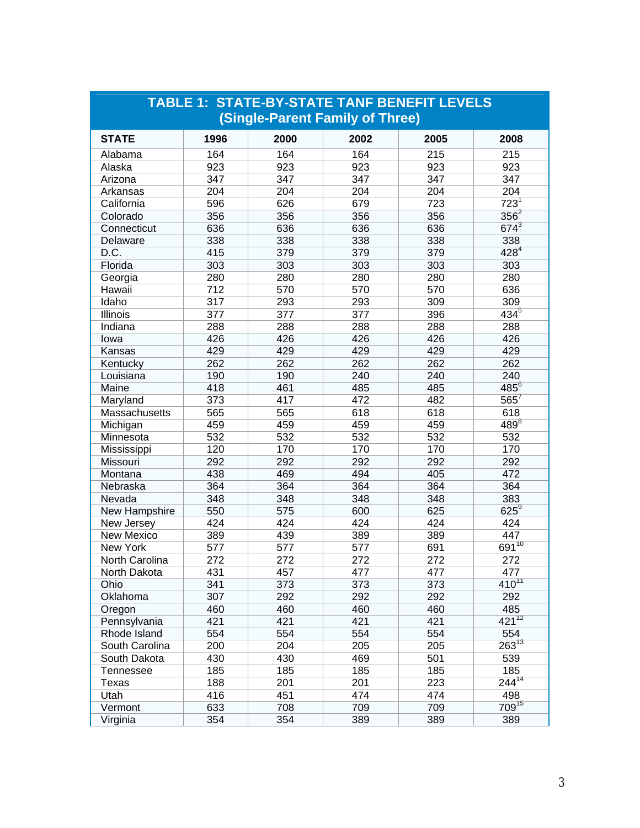| <b>TABLE 1: STATE-BY-STATE TANF BENEFIT LEVELS</b> |      |      |      |      |            |  |  |  |  |
|----------------------------------------------------|------|------|------|------|------------|--|--|--|--|
| (Single-Parent Family of Three)                    |      |      |      |      |            |  |  |  |  |
| <b>STATE</b>                                       | 1996 | 2000 | 2002 | 2005 | 2008       |  |  |  |  |
| Alabama                                            | 164  | 164  | 164  | 215  | 215        |  |  |  |  |
| Alaska                                             | 923  | 923  | 923  | 923  | 923        |  |  |  |  |
| Arizona                                            | 347  | 347  | 347  | 347  | 347        |  |  |  |  |
| Arkansas                                           | 204  | 204  | 204  | 204  | 204        |  |  |  |  |
| California                                         | 596  | 626  | 679  | 723  | $723^1$    |  |  |  |  |
| Colorado                                           | 356  | 356  | 356  | 356  | $356^2$    |  |  |  |  |
| Connecticut                                        | 636  | 636  | 636  | 636  | $674^{3}$  |  |  |  |  |
| Delaware                                           | 338  | 338  | 338  | 338  | 338        |  |  |  |  |
| D.C.                                               | 415  | 379  | 379  | 379  | $428^{4}$  |  |  |  |  |
| Florida                                            | 303  | 303  | 303  | 303  | 303        |  |  |  |  |
| Georgia                                            | 280  | 280  | 280  | 280  | 280        |  |  |  |  |
| Hawaii                                             | 712  | 570  | 570  | 570  | 636        |  |  |  |  |
| Idaho                                              | 317  | 293  | 293  | 309  | 309        |  |  |  |  |
| Illinois                                           | 377  | 377  | 377  | 396  | $434^{5}$  |  |  |  |  |
| Indiana                                            | 288  | 288  | 288  | 288  | 288        |  |  |  |  |
| lowa                                               | 426  | 426  | 426  | 426  | 426        |  |  |  |  |
| Kansas                                             | 429  | 429  | 429  | 429  | 429        |  |  |  |  |
| Kentucky                                           | 262  | 262  | 262  | 262  | 262        |  |  |  |  |
| Louisiana                                          | 190  | 190  | 240  | 240  | 240        |  |  |  |  |
| Maine                                              | 418  | 461  | 485  | 485  | $485^6$    |  |  |  |  |
| Maryland                                           | 373  | 417  | 472  | 482  | $565^7$    |  |  |  |  |
| Massachusetts                                      | 565  | 565  | 618  | 618  | 618        |  |  |  |  |
| Michigan                                           | 459  | 459  | 459  | 459  | $489^8$    |  |  |  |  |
| Minnesota                                          | 532  | 532  | 532  | 532  | 532        |  |  |  |  |
| Mississippi                                        | 120  | 170  | 170  | 170  | 170        |  |  |  |  |
| Missouri                                           | 292  | 292  | 292  | 292  | 292        |  |  |  |  |
| Montana                                            | 438  | 469  | 494  | 405  | 472        |  |  |  |  |
| Nebraska                                           | 364  | 364  | 364  | 364  | 364        |  |  |  |  |
| Nevada                                             | 348  | 348  | 348  | 348  | 383        |  |  |  |  |
| New Hampshire                                      | 550  | 575  | 600  | 625  | $625^9$    |  |  |  |  |
| New Jersey                                         | 424  | 424  | 424  | 424  | 424        |  |  |  |  |
| New Mexico                                         | 389  | 439  | 389  | 389  | 447        |  |  |  |  |
| New York                                           | 577  | 577  | 577  | 691  | $691^{10}$ |  |  |  |  |
| North Carolina                                     | 272  | 272  | 272  | 272  | 272        |  |  |  |  |
| North Dakota                                       | 431  | 457  | 477  | 477  | 477        |  |  |  |  |
| Ohio                                               | 341  | 373  | 373  | 373  | $410^{11}$ |  |  |  |  |
| Oklahoma                                           | 307  | 292  | 292  | 292  | 292        |  |  |  |  |
| Oregon                                             | 460  | 460  | 460  | 460  | 485        |  |  |  |  |
| Pennsylvania                                       | 421  | 421  | 421  | 421  | $421^{12}$ |  |  |  |  |
| Rhode Island                                       | 554  | 554  | 554  | 554  | 554        |  |  |  |  |
| South Carolina                                     | 200  | 204  | 205  | 205  | $263^{13}$ |  |  |  |  |
| South Dakota                                       | 430  | 430  | 469  | 501  | 539        |  |  |  |  |
| <b>Tennessee</b>                                   | 185  | 185  | 185  | 185  | 185        |  |  |  |  |
| Texas                                              | 188  | 201  | 201  | 223  | $244^{14}$ |  |  |  |  |
| Utah                                               | 416  | 451  | 474  | 474  | 498        |  |  |  |  |
| Vermont                                            | 633  | 708  | 709  | 709  | $709^{15}$ |  |  |  |  |
| Virginia                                           | 354  | 354  | 389  | 389  | 389        |  |  |  |  |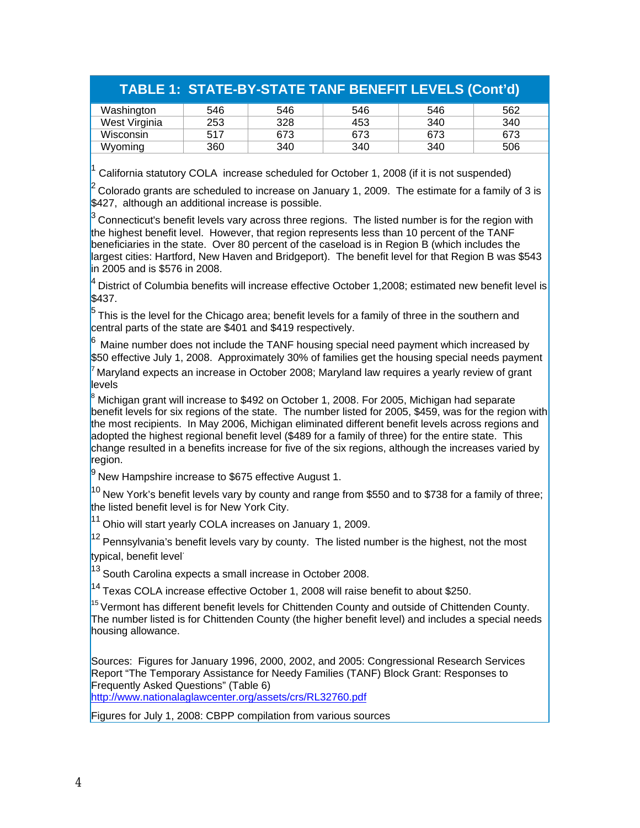## **TABLE 1: STATE-BY-STATE TANF BENEFIT LEVELS (Cont'd)**

| Washington    | 546 | 546 | 546 | 546 | 562 |
|---------------|-----|-----|-----|-----|-----|
| West Virginia | 253 | 328 | 453 | 340 | 340 |
| Wisconsin     | 517 | 673 | 673 | 673 | 673 |
| Wyoming       | 360 | 340 | 340 | 340 | 506 |

<sup>1</sup> California statutory COLA increase scheduled for October 1, 2008 (if it is not suspended)

2 Colorado grants are scheduled to increase on January 1, 2009. The estimate for a family of 3 is \$427, although an additional increase is possible.

Connecticut's benefit levels vary across three regions. The listed number is for the region with the highest benefit level. However, that region represents less than 10 percent of the TANF beneficiaries in the state. Over 80 percent of the caseload is in Region B (which includes the largest cities: Hartford, New Haven and Bridgeport). The benefit level for that Region B was \$543 in 2005 and is \$576 in 2008.

4 District of Columbia benefits will increase effective October 1,2008; estimated new benefit level is \$437.

This is the level for the Chicago area; benefit levels for a family of three in the southern and central parts of the state are \$401 and \$419 respectively.

Maine number does not include the TANF housing special need payment which increased by \$50 effective July 1, 2008. Approximately 30% of families get the housing special needs payment

Maryland expects an increase in October 2008; Maryland law requires a yearly review of grant levels

8 Michigan grant will increase to \$492 on October 1, 2008. For 2005, Michigan had separate benefit levels for six regions of the state. The number listed for 2005, \$459, was for the region with the most recipients. In May 2006, Michigan eliminated different benefit levels across regions and adopted the highest regional benefit level (\$489 for a family of three) for the entire state. This change resulted in a benefits increase for five of the six regions, although the increases varied by region.

 $9$  New Hampshire increase to \$675 effective August 1.

 $^{10}$  New York's benefit levels vary by county and range from \$550 and to \$738 for a family of three; the listed benefit level is for New York City.

<sup>11</sup> Ohio will start yearly COLA increases on January 1, 2009.

 $12$  Pennsylvania's benefit levels vary by county. The listed number is the highest, not the most typical, benefit level<sup>·</sup>

 $13$  South Carolina expects a small increase in October 2008.

 $14$  Texas COLA increase effective October 1, 2008 will raise benefit to about \$250.

<sup>15</sup> Vermont has different benefit levels for Chittenden County and outside of Chittenden County. The number listed is for Chittenden County (the higher benefit level) and includes a special needs housing allowance.

Sources: Figures for January 1996, 2000, 2002, and 2005: Congressional Research Services Report "The Temporary Assistance for Needy Families (TANF) Block Grant: Responses to Frequently Asked Questions" (Table 6) http://www.nationalaglawcenter.org/assets/crs/RL32760.pdf

Figures for July 1, 2008: CBPP compilation from various sources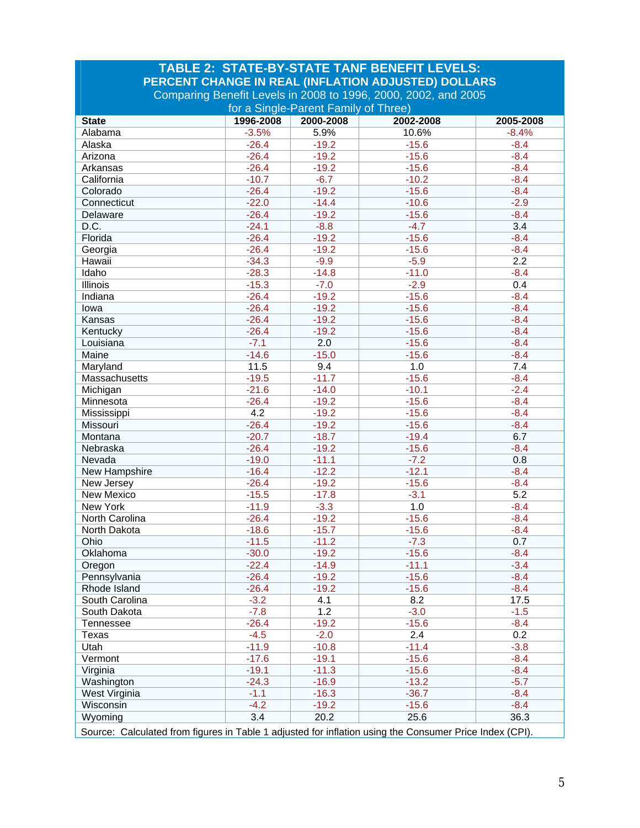| <b>TABLE 2: STATE-BY-STATE TANF BENEFIT LEVELS:</b>                                                                   |           |           |           |           |  |  |  |  |
|-----------------------------------------------------------------------------------------------------------------------|-----------|-----------|-----------|-----------|--|--|--|--|
| PERCENT CHANGE IN REAL (INFLATION ADJUSTED) DOLLARS<br>Comparing Benefit Levels in 2008 to 1996, 2000, 2002, and 2005 |           |           |           |           |  |  |  |  |
| for a Single-Parent Family of Three)                                                                                  |           |           |           |           |  |  |  |  |
| <b>State</b>                                                                                                          | 1996-2008 | 2000-2008 | 2002-2008 | 2005-2008 |  |  |  |  |
| Alabama                                                                                                               | $-3.5%$   | 5.9%      | 10.6%     | $-8.4%$   |  |  |  |  |
| Alaska                                                                                                                | $-26.4$   | $-19.2$   | $-15.6$   | $-8.4$    |  |  |  |  |
| Arizona                                                                                                               | $-26.4$   | $-19.2$   | $-15.6$   | $-8.4$    |  |  |  |  |
| Arkansas                                                                                                              | $-26.4$   | $-19.2$   | $-15.6$   | $-8.4$    |  |  |  |  |
| California                                                                                                            | $-10.7$   | $-6.7$    | $-10.2$   | $-8.4$    |  |  |  |  |
| Colorado                                                                                                              | $-26.4$   | $-19.2$   | $-15.6$   | $-8.4$    |  |  |  |  |
| Connecticut                                                                                                           | $-22.0$   | $-14.4$   | $-10.6$   | $-2.9$    |  |  |  |  |
| Delaware                                                                                                              | $-26.4$   | $-19.2$   | $-15.6$   | $-8.4$    |  |  |  |  |
| D.C.                                                                                                                  | $-24.1$   | $-8.8$    | $-4.7$    | 3.4       |  |  |  |  |
| Florida                                                                                                               | $-26.4$   | $-19.2$   | $-15.6$   | $-8.4$    |  |  |  |  |
| Georgia                                                                                                               | $-26.4$   | $-19.2$   | $-15.6$   | $-8.4$    |  |  |  |  |
| Hawaii                                                                                                                | $-34.3$   | $-9.9$    | $-5.9$    | 2.2       |  |  |  |  |
| Idaho                                                                                                                 | $-28.3$   | $-14.8$   | $-11.0$   | $-8.4$    |  |  |  |  |
| Illinois                                                                                                              | $-15.3$   | $-7.0$    | $-2.9$    | 0.4       |  |  |  |  |
| Indiana                                                                                                               | $-26.4$   | $-19.2$   | $-15.6$   | $-8.4$    |  |  |  |  |
| lowa                                                                                                                  | $-26.4$   | $-19.2$   | $-15.6$   | $-8.4$    |  |  |  |  |
| Kansas                                                                                                                | $-26.4$   | $-19.2$   | $-15.6$   | $-8.4$    |  |  |  |  |
| Kentucky                                                                                                              | $-26.4$   | $-19.2$   | $-15.6$   | $-8.4$    |  |  |  |  |
| Louisiana                                                                                                             | $-7.1$    | 2.0       | $-15.6$   | $-8.4$    |  |  |  |  |
| Maine                                                                                                                 | $-14.6$   | $-15.0$   | $-15.6$   | $-8.4$    |  |  |  |  |
|                                                                                                                       | 11.5      | 9.4       | 1.0       | 7.4       |  |  |  |  |
| Maryland                                                                                                              | $-19.5$   | $-11.7$   | $-15.6$   |           |  |  |  |  |
| Massachusetts                                                                                                         |           |           |           | $-8.4$    |  |  |  |  |
| Michigan                                                                                                              | $-21.6$   | $-14.0$   | $-10.1$   | $-2.4$    |  |  |  |  |
| Minnesota                                                                                                             | $-26.4$   | $-19.2$   | $-15.6$   | $-8.4$    |  |  |  |  |
| Mississippi                                                                                                           | 4.2       | $-19.2$   | $-15.6$   | $-8.4$    |  |  |  |  |
| Missouri                                                                                                              | $-26.4$   | $-19.2$   | $-15.6$   | $-8.4$    |  |  |  |  |
| Montana                                                                                                               | $-20.7$   | $-18.7$   | $-19.4$   | 6.7       |  |  |  |  |
| Nebraska                                                                                                              | $-26.4$   | $-19.2$   | $-15.6$   | $-8.4$    |  |  |  |  |
| Nevada                                                                                                                | $-19.0$   | $-11.1$   | $-7.2$    | 0.8       |  |  |  |  |
| New Hampshire                                                                                                         | $-16.4$   | $-12.2$   | $-12.1$   | $-8.4$    |  |  |  |  |
| New Jersey                                                                                                            | $-26.4$   | $-19.2$   | $-15.6$   | $-8.4$    |  |  |  |  |
| New Mexico                                                                                                            | $-15.5$   | $-17.8$   | $-3.1$    | 5.2       |  |  |  |  |
| New York                                                                                                              | $-11.9$   | $-3.3$    | 1.0       | $-8.4$    |  |  |  |  |
| North Carolina                                                                                                        | $-26.4$   | $-19.2$   | $-15.6$   | $-8.4$    |  |  |  |  |
| North Dakota                                                                                                          | $-18.6$   | $-15.7$   | $-15.6$   | $-8.4$    |  |  |  |  |
| Ohio                                                                                                                  | $-11.5$   | $-11.2$   | $-7.3$    | 0.7       |  |  |  |  |
| Oklahoma                                                                                                              | $-30.0$   | $-19.2$   | $-15.6$   | $-8.4$    |  |  |  |  |
| Oregon                                                                                                                | $-22.4$   | $-14.9$   | $-11.1$   | $-3.4$    |  |  |  |  |
| Pennsylvania                                                                                                          | $-26.4$   | $-19.2$   | $-15.6$   | $-8.4$    |  |  |  |  |
| Rhode Island                                                                                                          | $-26.4$   | $-19.2$   | $-15.6$   | $-8.4$    |  |  |  |  |
| South Carolina                                                                                                        | $-3.2$    | 4.1       | 8.2       | 17.5      |  |  |  |  |
| South Dakota                                                                                                          | $-7.8$    | 1.2       | $-3.0$    | $-1.5$    |  |  |  |  |
| Tennessee                                                                                                             | $-26.4$   | $-19.2$   | $-15.6$   | $-8.4$    |  |  |  |  |
| Texas                                                                                                                 | $-4.5$    | $-2.0$    | 2.4       | 0.2       |  |  |  |  |
| Utah                                                                                                                  | $-11.9$   | $-10.8$   | $-11.4$   | $-3.8$    |  |  |  |  |
| Vermont                                                                                                               | $-17.6$   | $-19.1$   | $-15.6$   | $-8.4$    |  |  |  |  |
| Virginia                                                                                                              | $-19.1$   | $-11.3$   | $-15.6$   | $-8.4$    |  |  |  |  |
| Washington                                                                                                            | $-24.3$   | $-16.9$   | $-13.2$   | $-5.7$    |  |  |  |  |
| West Virginia                                                                                                         | $-1.1$    | $-16.3$   | $-36.7$   | $-8.4$    |  |  |  |  |
| Wisconsin                                                                                                             | $-4.2$    | $-19.2$   | $-15.6$   | $-8.4$    |  |  |  |  |
| Wyoming                                                                                                               | 3.4       | 20.2      | 25.6      | 36.3      |  |  |  |  |
| Source: Calculated from figures in Table 1 adjusted for inflation using the Consumer Price Index (CPI).               |           |           |           |           |  |  |  |  |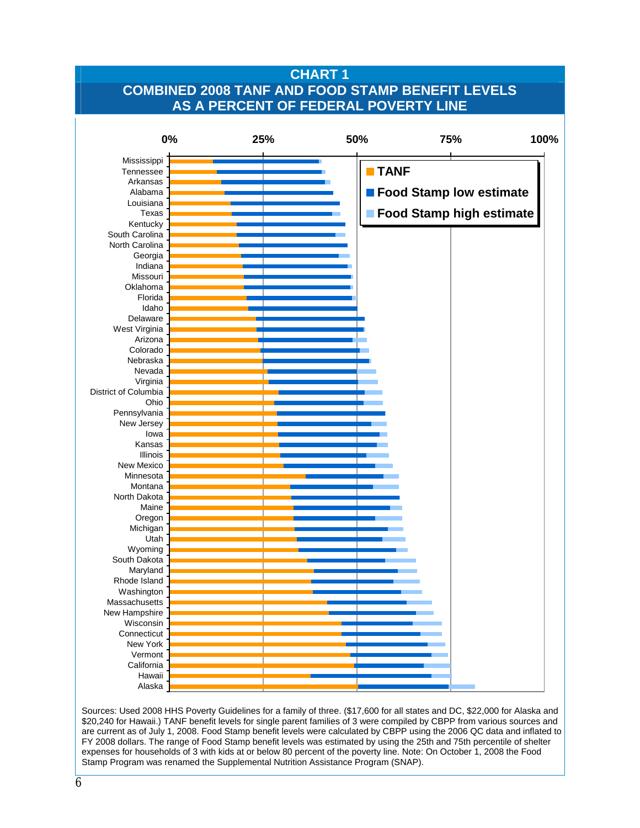## **Charge 1: Combined AS A PERCENT OF FEDERAL POVERTY LINE CHART 1 COMBINED 2008 TANF AND FOOD STAMP BENEFIT LEVELS**



Sources: Used 2008 HHS Poverty Guidelines for a family of three. (\$17,600 for all states and DC, \$22,000 for Alaska and \$20,240 for Hawaii.) TANF benefit levels for single parent families of 3 were compiled by CBPP from various sources and are current as of July 1, 2008. Food Stamp benefit levels were calculated by CBPP using the 2006 QC data and inflated to FY 2008 dollars. The range of Food Stamp benefit levels was estimated by using the 25th and 75th percentile of shelter expenses for households of 3 with kids at or below 80 percent of the poverty line. Note: On October 1, 2008 the Food Stamp Program was renamed the Supplemental Nutrition Assistance Program (SNAP).